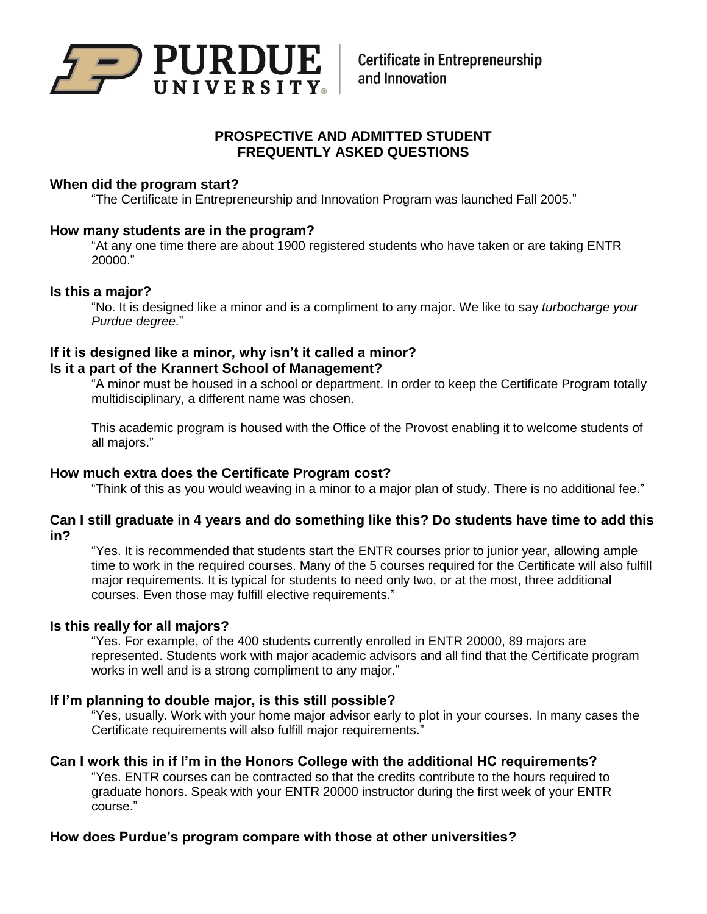

# **PROSPECTIVE AND ADMITTED STUDENT FREQUENTLY ASKED QUESTIONS**

# **When did the program start?**

"The Certificate in Entrepreneurship and Innovation Program was launched Fall 2005."

#### **How many students are in the program?**

"At any one time there are about 1900 registered students who have taken or are taking ENTR 20000."

#### **Is this a major?**

"No. It is designed like a minor and is a compliment to any major. We like to say *turbocharge your Purdue degree*."

# **If it is designed like a minor, why isn't it called a minor? Is it a part of the Krannert School of Management?**

"A minor must be housed in a school or department. In order to keep the Certificate Program totally multidisciplinary, a different name was chosen.

This academic program is housed with the Office of the Provost enabling it to welcome students of all majors."

# **How much extra does the Certificate Program cost?**

"Think of this as you would weaving in a minor to a major plan of study. There is no additional fee."

# **Can I still graduate in 4 years and do something like this? Do students have time to add this in?**

"Yes. It is recommended that students start the ENTR courses prior to junior year, allowing ample time to work in the required courses. Many of the 5 courses required for the Certificate will also fulfill major requirements. It is typical for students to need only two, or at the most, three additional courses. Even those may fulfill elective requirements."

# **Is this really for all majors?**

"Yes. For example, of the 400 students currently enrolled in ENTR 20000, 89 majors are represented. Students work with major academic advisors and all find that the Certificate program works in well and is a strong compliment to any major."

# **If I'm planning to double major, is this still possible?**

"Yes, usually. Work with your home major advisor early to plot in your courses. In many cases the Certificate requirements will also fulfill major requirements."

#### **Can I work this in if I'm in the Honors College with the additional HC requirements?**

"Yes. ENTR courses can be contracted so that the credits contribute to the hours required to graduate honors. Speak with your ENTR 20000 instructor during the first week of your ENTR course."

# **How does Purdue's program compare with those at other universities?**